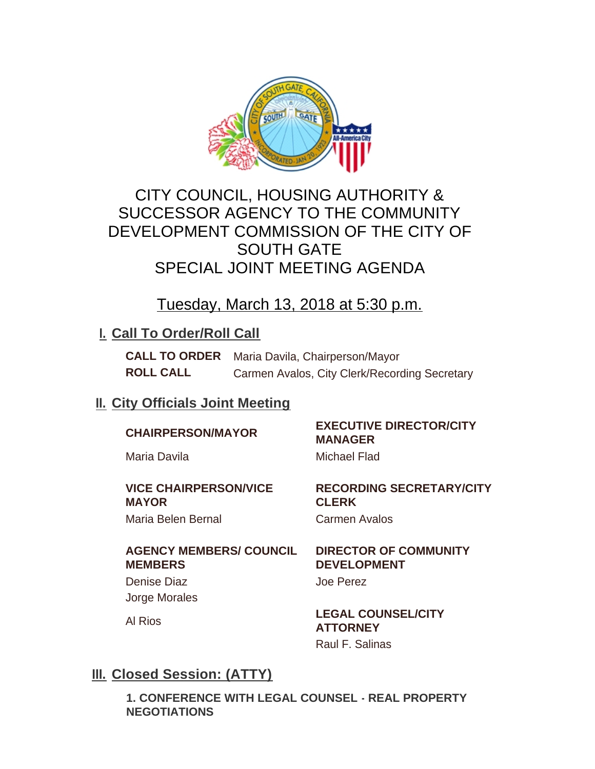

# CITY COUNCIL, HOUSING AUTHORITY & SUCCESSOR AGENCY TO THE COMMUNITY DEVELOPMENT COMMISSION OF THE CITY OF SOUTH GATE SPECIAL JOINT MEETING AGENDA

Tuesday, March 13, 2018 at 5:30 p.m.

## **I. Call To Order/Roll Call**

**CALL TO ORDER** Maria Davila, Chairperson/Mayor **ROLL CALL** Carmen Avalos, City Clerk/Recording Secretary

## **II. City Officials Joint Meeting**

# **CHAIRPERSON/MAYOR EXECUTIVE DIRECTOR/CITY**

Maria Davila **Michael Flad** 

**VICE CHAIRPERSON/VICE MAYOR**

# **RECORDING SECRETARY/CITY CLERK**

## **AGENCY MEMBERS/ COUNCIL MEMBERS**

Denise Diaz **Denise Diaz** Joe Perez Jorge Morales

Maria Belen Bernal **Carmen Avalos** 

## **DIRECTOR OF COMMUNITY DEVELOPMENT**

**MANAGER**

Al Rios **LEGAL COUNSEL/CITY ATTORNEY** Raul F. Salinas

## **Closed Session: (ATTY) III.**

**1. CONFERENCE WITH LEGAL COUNSEL - REAL PROPERTY NEGOTIATIONS**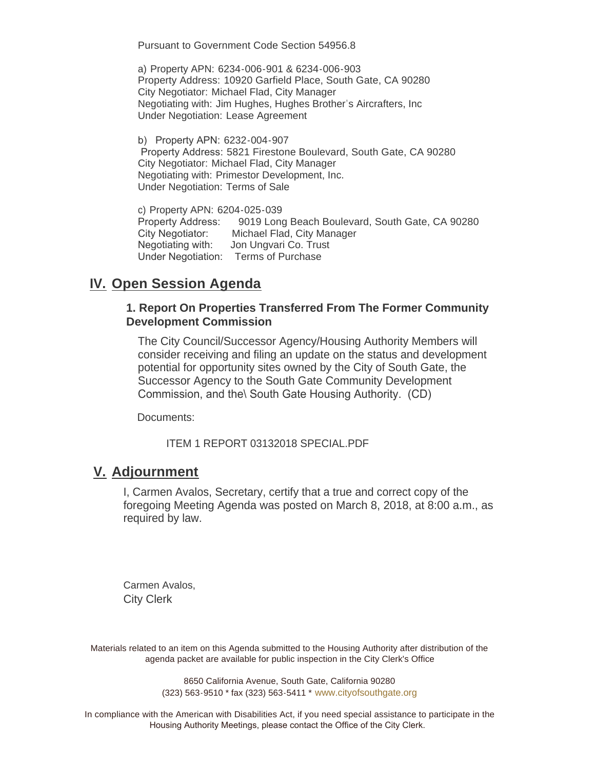Pursuant to Government Code Section 54956.8

a) Property APN: 6234-006-901 & 6234-006-903 Property Address: 10920 Garfield Place, South Gate, CA 90280 City Negotiator: Michael Flad, City Manager Negotiating with: Jim Hughes, Hughes Brother's Aircrafters, Inc Under Negotiation: Lease Agreement

b) Property APN: 6232-004-907 Property Address: 5821 Firestone Boulevard, South Gate, CA 90280 City Negotiator: Michael Flad, City Manager Negotiating with: Primestor Development, Inc. Under Negotiation: Terms of Sale

c) Property APN: 6204-025-039 Property Address: 9019 Long Beach Boulevard, South Gate, CA 90280 City Negotiator: Michael Flad, City Manager Negotiating with: Jon Ungvari Co. Trust Under Negotiation: Terms of Purchase

## **IV.** Open Session Agenda

#### **1. Report On Properties Transferred From The Former Community Development Commission**

The City Council/Successor Agency/Housing Authority Members will consider receiving and filing an update on the status and development potential for opportunity sites owned by the City of South Gate, the Successor Agency to the South Gate Community Development Commission, and the\ South Gate Housing Authority. (CD)

Documents:

ITEM 1 REPORT 03132018 SPECIAL.PDF

## **Adjournment V.**

I, Carmen Avalos, Secretary, certify that a true and correct copy of the foregoing Meeting Agenda was posted on March 8, 2018, at 8:00 a.m., as required by law.

Carmen Avalos, City Clerk

Materials related to an item on this Agenda submitted to the Housing Authority after distribution of the agenda packet are available for public inspection in the City Clerk's Office

> 8650 California Avenue, South Gate, California 90280 (323) 563-9510 \* fax (323) 563-5411 \* [www.cityofsouthgate.org](http://www.cityofsouthgate.org/)

In compliance with the American with Disabilities Act, if you need special assistance to participate in the Housing Authority Meetings, please contact the Office of the City Clerk.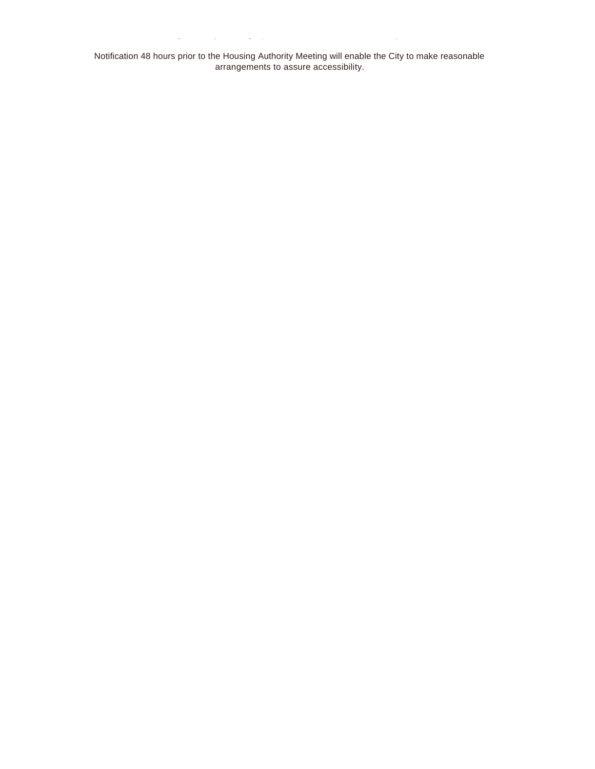Notification 48 hours prior to the Housing Authority Meeting will enable the City to make reasonable arrangements to assure accessibility.

Housing  $\mathcal{A}_\text{max}$  and  $\mathcal{A}_\text{max}$  contact the Office of the City Clerk.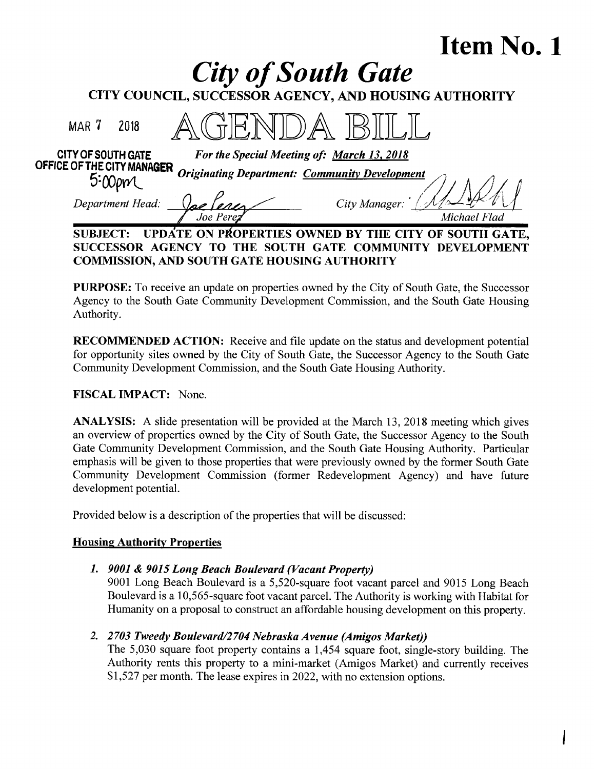# Item No. <sup>1</sup>

| <b>City of South Gate</b>                                                          |              |
|------------------------------------------------------------------------------------|--------------|
| CITY COUNCIL, SUCCESSOR AGENCY, AND HOUSING AUTHORITY                              |              |
| MAR 7<br>2018                                                                      |              |
| CITY OF SOUTH GATE<br>For the Special Meeting of: March 13, 2018                   |              |
| OFFICE OF THE CITY MANAGER<br><b>Originating Department: Community Development</b> |              |
| Department Head:<br>City Manager:                                                  |              |
|                                                                                    | Michael Flad |
| <b>'RTIES OWNED BY THE CI</b>                                                      |              |

SUCCESSOR AGENCY TO THE SOUTH GATE COMMUNITY DEVELOPMENT COMMISSION, AND SOUTH GATE HOUSING AUTHORITY

PURPOSE: To receive an update on properties owned by the City of South Gate, the Successor Agency to the South Gate Community Development Commission, and the South Gate Housing Authority.

RECOMMENDED ACTION: Receive and file update on the status and development potential for opportunity sites owned by the City of South Gate, the Successor Agency to the South Gate Community Development Commission, and the South Gate Housing Authority.

## FISCAL IMPACT: None.

ANALYSIS: A slide presentation will be provided at the March 13, 2018 meeting which gives an overview of properties owned by the City of South Gate, the Successor Agency to the South Gate Community Development Commission, and the South Gate Housing Authority. Particular emphasis will be given to those properties that were previously owned by the former South Gate Community Development Commission (former Redevelopment Agency) and have future development potential.

Provided below is a description of the properties that will be discussed:

## **Housing Authority Properties**

## 1. 9001 & 9015 Long Beach Boulevard (Vacant Property)

9001 Long Beach Boulevard is a 5,520-square foot vacant parcel and 9015 Long Beach Boulevard is a 10,565-square foot vacant parcel. The Authority is working with Habitat for Humanity on a proposal to construct an affordable housing development on this property.

## 2. 2703 Tweedy Boulevard/2 704 Nebraska Avenue (Amigos Market))

The 5,030 square foot property contains a 1,454 square foot, single-story building. The Authority rents this property to a mini-market (Amigos Market) and currently receives \$1,527 per month. The lease expires in 2022, with no extension options.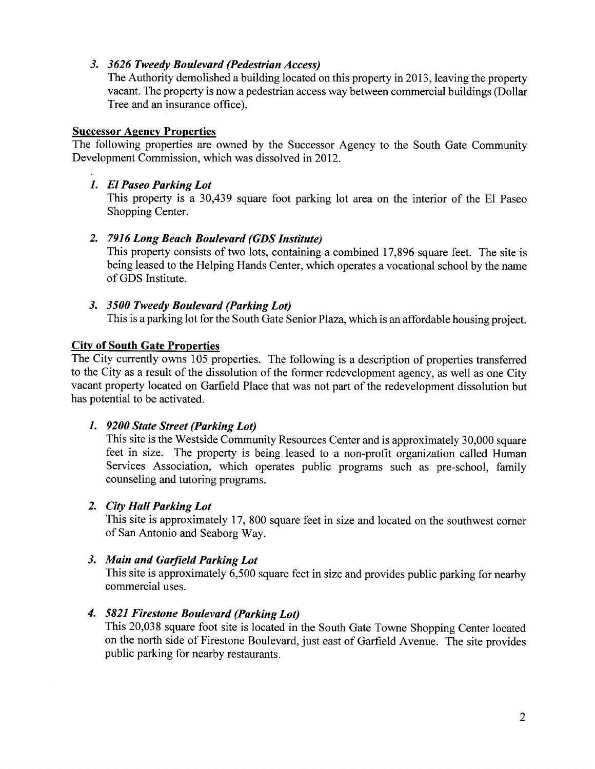#### 3. 3626 Tweedy Boulevard (Pedestrian Access)

The Authority demolished a building located on this property in 2013, leaving the property vacant. The property is now a pedestrian access way between commercial buildings (Dollar Tree and an insurance office).

#### Successor Agency Properties

The following properties are owned by the Successor Agency to the South Gate Community Development Commission, which was dissolved in 2012.

## 1. El Paseo Parking Lot

This property is a 30,439 square foot parking lot area on the interior of the El Paseo Shopping Center.

## 2. 7916 Long Beach Boulevard (GDS Institute)

This property consists of two lots, containing a combined 17,896 square feet. The site is being leased to the Helping Hands Center, which operates a vocational school by the name of GDS Institute.

## 3. 3500 Tweedy Boulevard (Parking Lot)

This is a parking lot for the South Gate Senior Plaza, which is an affordable housing project.

## City of South Gate Properties

The City currently owns 105 properties. The following is a description of properties transferred to the City as a result of the dissolution of the former redevelopment agency, as well as one City vacant property located on Garfield Place that was not part of the redevelopment dissolution but has potential to be activated.

## 1. 9200 State Street (Parking Lot)

This site is the Westside Community Resources Center and is approximately 30,000 square feet in size. The property is being leased to a non-profit organization called Human Services Association, which operates public programs such as pre-school, family counseling and tutoring programs.

## 2. City Hall Parking Lot

This site is approximately 17, 800 square feet in size and located on the southwest corner of San Antonio and Seaborg Way.

## 3. Main and Garfield Parking Lot

This site is approximately 6,500 square feet in size and provides public parking for nearby commercial uses.

## 4. 5821 Firestone Boulevard (Parking Lot)

This 20,038 square foot site is located in the South Gate Towne Shopping Center located on the north side of Firestone Boulevard, just east of Garfield Avenue. The site provides public parking for nearby restaurants.